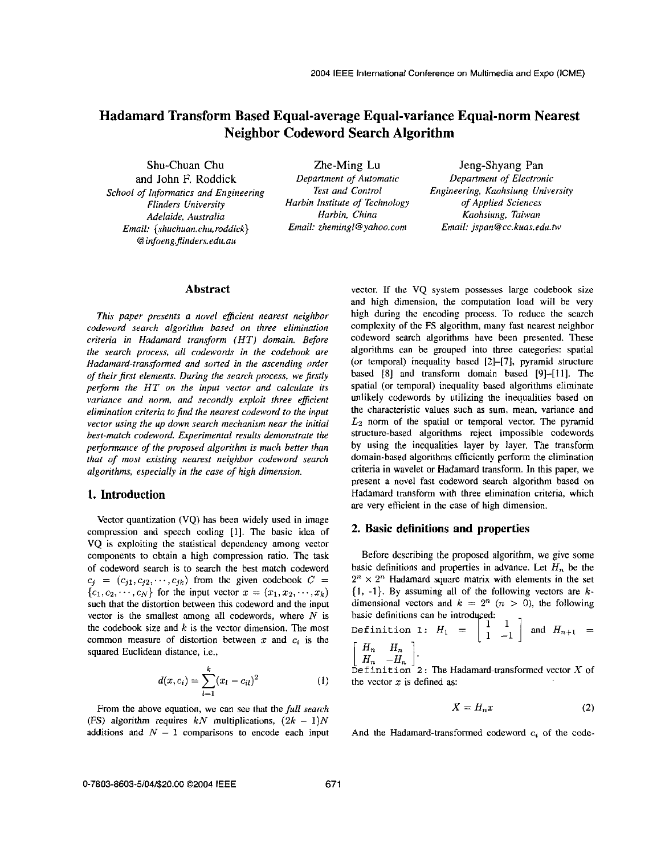# **Hadamard Transform Based Equal-average Equal-variance Equal-norm Nearest Neighbor Codeword Search Algorithm**

*Adelaide, Australia Harbin, China Kaohsiung, Taiwan Email: {shuchuan. chu, roddick} Email: [zhemingl@yahoo.com](mailto:zhemingl@yahoo.com) Email: jspan@cc. kuas.edu.tw School of Informatics and Engineering* @ *infoeng.\$inders. edu. au* 

Shu-Chuan Chu <br>
and John F. Roddick *Department of Automatic Department of Electror Test and Control Flinders University Harbin Institute of Technology of Applied Sciences**Harbin Institute of Technology**of Applied Sciences**Harbin, China**Kaohsiung, Taiwan* 

and John F. Roddick *Department of Automatic Department of Electronic<br>
<i>of Informatics and Fineineering Dest and Control Engineering, Kaohsiung University* 

### **Abstract**

*This paper presents a novel eficienr nearest neighbor codeword search algorithm based on three elimination criteria in Hudamard transform (HT) domain. Before the search process, dl codewords in the codebook are Hadamard-transformed and sorted in the ascending onfer*  of their first elements. During the search process, we firstly *perform the HT on the input vector and calculate its variance and norm, and secondly exploit three eficient elimination criteria to find the nearest codeword to the input vector using the up down search mechanism near the initial bar-match codeword. Experimental results demonstrare the performance of the proposed algorithm is much better than that of most existing nearest neighbor codeword search algorithms, especially in the case of high dimension.* 

## **1. Introduction**

Vector quantization (VQ) has been widely used in image compression and speech coding [l]. The basic idea of **VQ** is exploiting the statistical dependency among vector components to obtain **a** high compression ratio. The task of codeword search is to search the best match codeword  $c_j = (c_{j1}, c_{j2}, \dots, c_{jk})$  from the given codebook  $C =$  $\{c_1, c_2, \dots, c_N\}$  for the input vector  $x = (x_1, x_2, \dots, x_k)$ such that the distortion between this codeword and the input vector is the smallest among all codewords, where *N* is the codebook size and  $k$  is the vector dimension. The most common measure of distortion between *x* and *e,* is the squared Euclidean distance, i.e.,

$$
d(x, c_i) = \sum_{l=1}^{k} (x_l - c_{il})^2
$$
 (1)

From the above equation, we can see that the *full search* (FS) algorithm requires  $kN$  multiplications,  $(2k - 1)N$ additions and  $N-1$  comparisons to encode each input And the Hadamard-transformed codeword  $c_i$  of the code-

vector. If the VQ system possesses large codebook size and high dimension, the computation load will be very high during the encoding process. To reduce the search complexity of the **FS** algorithm, many fast nearest neighbor codeword search algorithms have been presented. These algorithms can be grouped into three categories: spatial (or temporal) inequality based **[2]-[7],** pyramid structure based **[8]** and transform domain based **[9]-[11].** The spatial (or temporal) inequality based algorithms eliminate unlikely codewords by utilizing the inequalities based on the characteristic **values** such **as** sum, mean, variance and  $L_2$  norm of the spatial or temporal vector. The pyramid structure-based algorithms reject impossible codewords by using the inequalities layer by **layer.** The transform domain-based algorithms efficiently perform the elimination criteria in wavelet or Hadamard transform. In this paper, we present a novel fast codeword search algorithm based on Hadamard transform with three elimination criteria, which are very efficient in the case **of** high dimension.

#### **2. Basic definitions and properties**

Before describing the proposed algorithm, we give some basic definitions and properties in advance. Let  $H_n$  be the  $2^n \times 2^n$  Hadamard square matrix with elements in the set **{I, -1).** By assuming **all** of the following vectors are *k*dimensional vectors and  $k = 2^n$   $(n > 0)$ , the following basic definitions can be introduced:

Definition 1:  $H_1 = \begin{bmatrix} 1 & 1 \\ 1 & -1 \end{bmatrix}$  and  $H_{n+1} =$  $\begin{bmatrix} H_n & H_n \ H_n & -H_n \end{bmatrix}$ .<br>Definition 2: The Hadamard-transformed vector X of

the vector  $x$  is defined as:

$$
X = H_n x \tag{2}
$$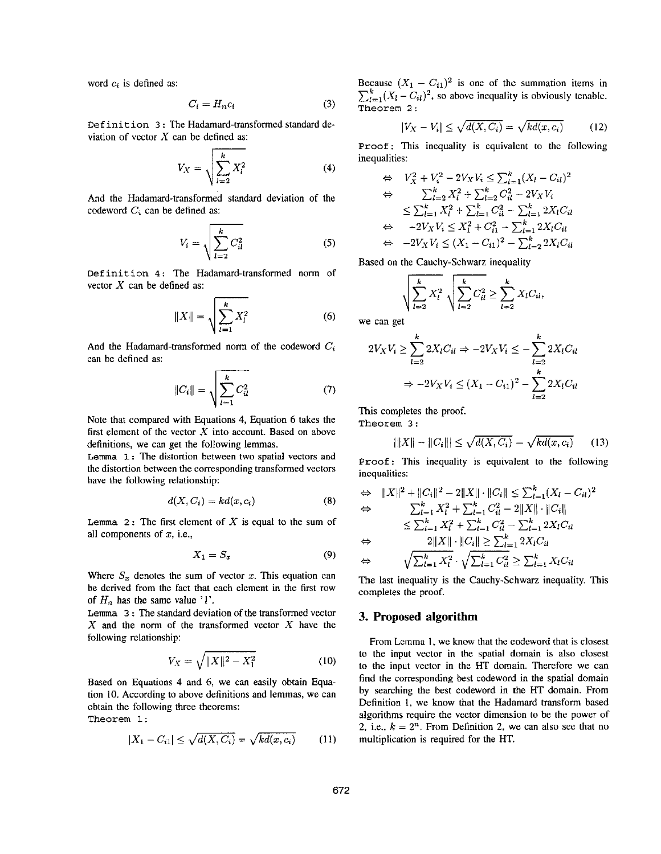word *ci* is defined **as:** 

$$
C_i = H_n c_i \tag{3}
$$

**Definition 3** : The Hadamard-transformcd standard deviation of vector  $X$  can be defined as:

$$
C_i = H_n c_i
$$
 (3)  
ne Hadamard-transformed standard de-  
an be defined as:  

$$
V_X = \sqrt{\sum_{l=2}^{k} X_l^2}
$$
 (4)

And the Hadamard-transformed standard deviation of the codeword  $C_i$  can be defined as:

$$
V_i = \sqrt{\sum_{l=2}^{k} C_{il}^2}
$$
 (5)

**Definition 4** : The Hadamard-transformed norm of vector X can he defined **as:** 

$$
||X|| = \sqrt{\sum_{l=1}^{k} X_l^2}
$$
 (6)

And the Hadamard-transformed norm of the codeword *C,*  can he defined **as:** 

$$
||C_i|| = \sqrt{\sum_{l=1}^{k} C_{il}^2}
$$
 (7)

Note that compared with Equations **4,** Equation 6 takes the first element of the vector *X* into account. Based on above definitions, we can get the following lemmas.

Lemma 1: The distortion between two spatial vectors and the distortion between the corresponding transformed vectors have the following relationship:

$$
d(X, C_i) = kd(x, c_i)
$$
 (8)

**Lemma** *2* : The first element of X is equal to the **sum** of **all** components of *x,* i.e.,

$$
X_1 = S_x \tag{9}
$$

Where  $S_x$  denotes the sum of vector x. This equation can he derived from the fact that each element in the first row of  $H_n$  has the same value  $'1'$ .

**Lemma 3** : The standard deviation *of* the transformed vector  $X$  and the norm of the transformed vector  $X$  have the following relationship:

$$
V_X = \sqrt{\|X\|^2 - X_1^2} \tag{10}
$$

Based on Equations **4** and *6,* we can easily obtain Equation **10.** According to above definitions and lemmas, we can obtain the following three theorems:

**Theorem** 1:

$$
|X_1 - C_{i1}| \le \sqrt{d(X, C_i)} = \sqrt{kd(x, c_i)}
$$
 (11)

Because  $(X_1 - C_{i1})^2$  is one of the summation items in **Exercise**  $(X_1 - C_{i1})$  is one of the summation tiems in  $\sum_{l=1}^{k} (X_l - C_{il})^2$ , so above inequality is obviously tenable. **Theorem** 2 :

$$
-C_{il})^2
$$
, so above inequality is obviously tenable.  
\n
$$
|V_X - V_i| \le \sqrt{d(X, C_i)} = \sqrt{kd(x, c_i)}
$$
 (12)

**Proof:** This inequality is equivalent to the following inequalities:

$$
\Leftrightarrow V_X^2 + V_i^2 - 2V_XV_i \le \sum_{l=1}^k (X_l - C_{il})^2
$$
  
\n
$$
\Leftrightarrow \sum_{l=2}^k X_l^2 + \sum_{l=2}^k C_{il}^2 - 2V_XV_i
$$
  
\n
$$
\le \sum_{l=1}^k X_l^2 + \sum_{l=1}^k C_{il}^2 - \sum_{l=1}^k 2X_lC_{il}
$$
  
\n
$$
\Leftrightarrow -2V_XV_i \le X_1^2 + C_{il}^2 - \sum_{l=1}^k 2X_lC_{il}
$$
  
\n
$$
\Leftrightarrow -2V_XV_i \le (X_1 - C_{i1})^2 - \sum_{l=2}^k 2X_lC_{il}
$$

Based on the Cauchy-Schwarz inequality

$$
-2V_XV_i \le (X_1 - C_{i1})^2 - \sum_{l=2}^k 2X_l
$$
  
the Cauchy-Schwarz inequality  

$$
\sqrt{\sum_{l=2}^k X_l^2} \sqrt{\sum_{l=2}^k C_{il}^2} \ge \sum_{l=2}^k X_l C_{il},
$$

we can get

$$
2V_XV_i \ge \sum_{l=2}^k 2X_lC_{il} \Rightarrow -2V_XV_i \le -\sum_{l=2}^k 2X_lC_{il}
$$

$$
\Rightarrow -2V_XV_i \le (X_1 - C_{i1})^2 - \sum_{l=2}^k 2X_lC_{il}
$$

This completes the proof.

**Theorem** <sup>3</sup>:

$$
i=2
$$
\nimpletes the proof.

\nem 3:

\n
$$
|||X|| - ||C_i||| \le \sqrt{d(X, C_i)} = \sqrt{kd(x, c_i)} \tag{13}
$$
\n. This inequality is equivalent to the following.

**Proof:** This inequality is equivalent to the following inequalities:

$$
\Leftrightarrow \|X\|^2 + \|C_i\|^2 - 2\|X\| \cdot \|C_i\| \le \sum_{l=1}^k (X_l - C_{il})^2
$$
  
\n
$$
\Leftrightarrow \qquad \sum_{l=1}^k X_l^2 + \sum_{l=1}^k C_{il}^2 - 2\|X\| \cdot \|C_i\|
$$
  
\n
$$
\le \sum_{l=1}^k X_l^2 + \sum_{l=1}^k C_{il}^2 - \sum_{l=1}^k 2X_lC_{il}
$$
  
\n
$$
\Leftrightarrow \qquad 2\|X\| \cdot \|C_i\| \ge \sum_{l=1}^k 2X_lC_{il}
$$
  
\n
$$
\Leftrightarrow \qquad \sqrt{\sum_{l=1}^k X_l^2} \cdot \sqrt{\sum_{l=1}^k C_{il}^2} \ge \sum_{l=1}^k X_lC_{il}
$$

The last inequality is the Cauchy-Schwarz inequality. This completes the proof.

# **3. Proposed algorithm**

From Lemma I, we know that the codeword that is closest to the input vector in the spatial domain is **also** closest to the input vector in the HT domain. Therefore we can find the corresponding hest codeword in the spatial domain by searching the hest codeword in the HT domain. From Definition 1, we know that the Hadamard transform based algorithms require the vector dimension to be the power of 2, i.e.,  $k = 2<sup>n</sup>$ . From Definition 2, we can also see that no multiplication is required for the HT.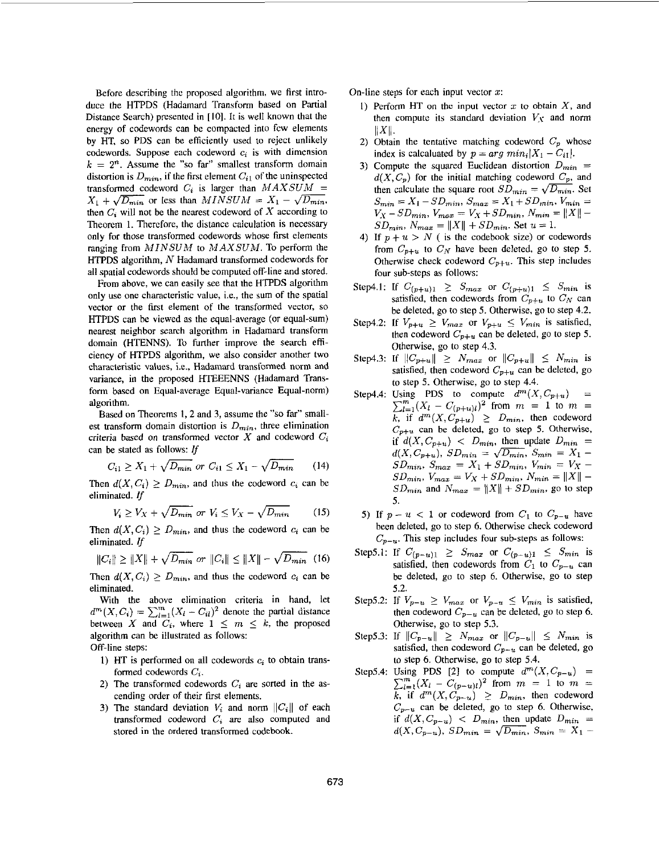Before describing the proposed algorithm, we first introduce the HTPDS (Hadamard Transform based on Partial Distance Search) presented in [IO]. It is well known that the energy of codewords can be compacted into few elements by HT, so PDS can be efficiently used to reject unlikely codewords. Suppose each codeword **c,** is with dimension  $k = 2<sup>n</sup>$ . Assume the "so far" smallest transform domain distortion is  $D_{min}$ , if the first element  $C_{i1}$  of the uninspected transformed codeword  $C_i$  is larger than  $MAXSUM =$  $X_1 + \sqrt{D_{min}}$  or less than  $MINSUM = X_1 - \sqrt{D_{min}}$ , then  $C_i$  will not be the nearest codeword of X according to Theorem **1.** Therefore, the distance calculation is necessary only for those transformed codewords whose first elements ranging from *MINSUM* to *MAXSUM.* To perform the HTPDS algorithm, *N* Hadamard transformed codewords for all spatial codewords should be computed off-line and stored.

From above, we can easily see that the HTPDS algorithm only use one characteristic value, i.e., the **sum** of the spatial vector or the first element of the transformed vector, so HTPDS can he viewed **as** the equal-average (or equal-sum) nearest neighbor search algorithm in Hadamard transform domain (HTENNS). To further improve the search efficiency of HTPDS algorithm, we also consider another two characteristic values, i.e., Hadamard transformed norm and variance, in the proposed HTEEENNS (Hadamard Transform based on Equal-average Equal-variance Equal-norm) algorithm.

Based on Theorems 1,2 and **3,** assume the **"so** far" smallest transform domain distortion is  $D_{min}$ , three elimination criteria based on transformed vector X and codeword  $C_i$ <br>can be stated as follows: If<br> $C_{i1} \ge X_1 + \sqrt{D_{min}}$  or  $C_{i1} \le X_1 - \sqrt{D_{min}}$  (14) can **be** stated **as** follows: *If* 

$$
C_{i1} \ge X_1 + \sqrt{D_{min}} \text{ or } C_{i1} \le X_1 - \sqrt{D_{min}} \qquad (14)
$$

Then  $d(X, C_i) \ge D_{min}$ , and thus the codeword  $c_i$  can be eliminated. *If*  First  $C_{i1} \ge X_1 + \sqrt{D_{min}}$  or  $C_{i1} \le X_1 - \sqrt{D_{min}}$  (14)<br>
Then  $d(X, C_i) \ge D_{min}$ , and thus the codeword  $c_i$  can be<br>
eliminated. If<br>  $V_i \ge V_X + \sqrt{D_{min}}$  or  $V_i \le V_X - \sqrt{D_{min}}$  (15)<br>
Then  $d(X, C_i) \ge D_{min}$ , and thus the codeword  $c_i$  c

$$
V_i \ge V_X + \sqrt{D_{min}} \text{ or } V_i \le V_X - \sqrt{D_{min}} \tag{15}
$$

eliminated. *If* 

$$
V_i \geq VX + \sqrt{D_{min}} \text{ or } V_i \leq VX - \sqrt{D_{min}} \tag{15}
$$
  
then  $d(X, C_i) \geq D_{min}$ , and thus the codeword  $c_i$  can be  
limited. If  
 $||C_i|| \geq ||X|| + \sqrt{D_{min}} \text{ or } ||C_i|| \leq ||X|| - \sqrt{D_{min}} \tag{16}$   
then  $d(X, C_i) \geq D_{min}$ , and thus the codeword  $c_i$  can be

Then  $d(X, C_i) \geq D_{min}$ , and thus the codeword  $c_i$  can be eliminated.

With the above elimination criteria in hand, let  $d^m(X, C_i) = \sum_{l=1}^m (X_l - C_{il})^2$  denote the partial distance between X and  $\overrightarrow{C_i}$ , where  $1 \leq m \leq k$ , the proposed algorithm can be illustrated **as** follows:

Off-line steps:

- 1) HT is performed on all codewords  $c_i$  to obtain transformed codewords  $C_i$ .
- 2) The transformed codewords  $C_i$  are sorted in the ascending order of their first elements.
- 3) The standard deviation  $V_i$  and norm  $||C_i||$  of each transformed codeword  $C_i$  are also computed and stored in the ordered transformed codebook.

On-line steps for each input vector *x:* 

- I) Pertorm **HT** on thc input vector *x* to obtain X, and then compute its standard deviation  $V_X$  and norm  $||X||$ .
- 2) Obtain the tentative matching codeword  $C_p$  whose index is calcaluated by  $p = arg min_i |X_1 - C_{i1}|$ .
- **3)** Compute the squared Euclidean distortion  $D_{min}$  =  $d(X, C_p)$  for the initial matching codeword  $C_p$ , and then calculate the square root  $SD_{min} = \sqrt{D_{min}}$ . Set  $S_{min} = X_1 - SD_{min}$ ,  $S_{max} = X_1 + SD_{min}$ ,  $V_{min} = V_X - SD_{min}$ ,  $V_{max} = V_X + SD_{min}$ ,  $N_{min} = ||X|| S_{min} = X_1 - SD_{min}, S_{max} = X_1 + SD_{min}, V_{min} =$  $SD_{min}$ ,  $N_{max} = ||X|| + SD_{min}$ . Set  $u = 1$ .
- 4) If  $p + u > N$  ( is the codebook size) or codewords from  $C_{p+u}$  to  $C_N$  have been deleted, go to step 5. Otherwise check codeword  $C_{p+u}$ . This step includes four sub-steps as follows:
- Step4.1: If  $C_{(p+u)1} \geq S_{max}$  or  $C_{(p+u)1} \leq S_{min}$  is satisfied, then codewords from  $C_{p+u}$  to  $C_N$  can he deleted, go to step *5.* Otherwise, go to step 4.2.
- Step4.2: If  $V_{p+u} \geq V_{max}$  or  $V_{p+u} \leq V_{min}$  is satisfied, then codeword  $C_{p+u}$  can be deleted, go to step 5. Otherwise, go to step 4.3.
- Step4.3: If  $||C_{p+u}|| \geq N_{max}$  or  $||C_{p+u}|| \leq N_{min}$  is satisfied, then codeword  $C_{p+u}$  can be deleted, go to step *5.* Otherwise, go to step 4.4.
- Step4.4: Using PDS to compute  $d^m(X, C_{p+u})$  =  $\sum_{l=1}^{m} (X_l - C_{(p+u)l})^2$  from  $m = 1$  to  $m =$  $\overline{k}$ , if  $d^m(X, C_{p+u}) \geq D_{min}$ , then codeword  $C_{p+u}$  can be deleted, go to step 5. Otherwise, if  $d(X, C_{p+u})$  <  $D_{min}$ , then update  $D_{min}$  =  $C_{p+u}$  can be deleted, go to step 5. Otherwise,<br>if  $d(X, C_{p+u}) < D_{min}$ , then update  $D_{min} =$ <br> $d(X, C_{p+u})$ ,  $SD_{min} = \sqrt{D_{min}}$ ,  $S_{min} = X_1 - S D_{min}$ ,  $S_{max} = X_1 + S D_{min}$ ,  $V_{min} = V_Y$  $d(X, C_{p+u}), SD_{min} = \sqrt{D_{min}}, S_{min} = X_1 - SD_{min}, S_{max} = X_1 + SD_{min}, V_{min} = V_X SD_{min}$ ,  $V_{max} = V_X + SD_{min}$ ,  $N_{min} = ||X|| SD_{min}$  and  $N_{max} = ||X|| + SD_{min}$ , go to step *5.*
- 5) If  $p u < 1$  or codeword from  $C_1$  to  $C_{p-u}$  have been deleted, go to step 6. Otherwise check codeword  $C_{p-u}$ . This step includes four sub-steps as follows:
- Step5.1: If  $C_{(p-u)1} \geq S_{max}$  or  $C_{(p-u)1} \leq S_{min}$  is satisfied, then codewords from  $C_1$  to  $C_{p-u}$  can be deleted, go to step 6. Otherwise, go to step 5.2.
- Step5.2: If  $V_{p-u} \geq V_{max}$  or  $V_{p-u} \leq V_{min}$  is satisfied, then codeword  $C_{p-u}$  can be deleted, go to step 6. Otherwise, go to step 5.3.
- Step5.3: If  $||C_{p-u}|| \geq N_{max}$  or  $||C_{p-u}|| \leq N_{min}$  is satisfied, then codeword  $C_{p-u}$  can be deleted, go to step 6. Otherwise, go to step 5.4.
- Step5.4: Using PDS [2] to compute  $d^m(X, C_{p-u})$  =  $\sum_{l=1}^{m} (X_l - C_{(p-u)l})^2$  from  $m = 1$  to  $m =$ *k*, if  $d^m(X, C_{p-u}) \geq D_{min}$ , then codeword  $C_{p-u}$  can be deleted, go to step 6. Otherwise, if  $d(X, C_{p-u})$  <  $D_{min}$ , then update  $D_{min}$  =  $C_{p-u}$  can be deleted, go to step 6. Otherwise,<br>
if  $d(X, C_{p-u}) < D_{min}$ , then update  $D_{min} =$ <br>  $d(X, C_{p-u}), SD_{min} = \sqrt{D_{min}}, S_{min} = X_1 -$